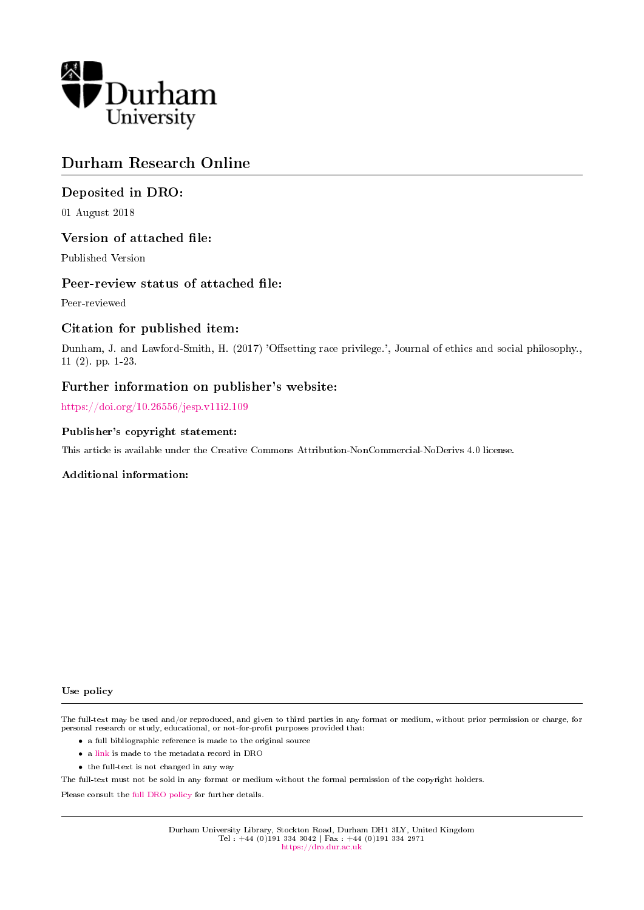

# Durham Research Online

## Deposited in DRO:

01 August 2018

### Version of attached file:

Published Version

## Peer-review status of attached file:

Peer-reviewed

### Citation for published item:

Dunham, J. and Lawford-Smith, H. (2017) 'Offsetting race privilege.', Journal of ethics and social philosophy., 11 (2). pp. 1-23.

### Further information on publisher's website:

<https://doi.org/10.26556/jesp.v11i2.109>

### Publisher's copyright statement:

This article is available under the Creative Commons Attribution-NonCommercial-NoDerivs 4.0 license.

### Additional information:

#### Use policy

The full-text may be used and/or reproduced, and given to third parties in any format or medium, without prior permission or charge, for personal research or study, educational, or not-for-profit purposes provided that:

- a full bibliographic reference is made to the original source
- a [link](http://dro.dur.ac.uk/25745/) is made to the metadata record in DRO
- the full-text is not changed in any way

The full-text must not be sold in any format or medium without the formal permission of the copyright holders.

Please consult the [full DRO policy](https://dro.dur.ac.uk/policies/usepolicy.pdf) for further details.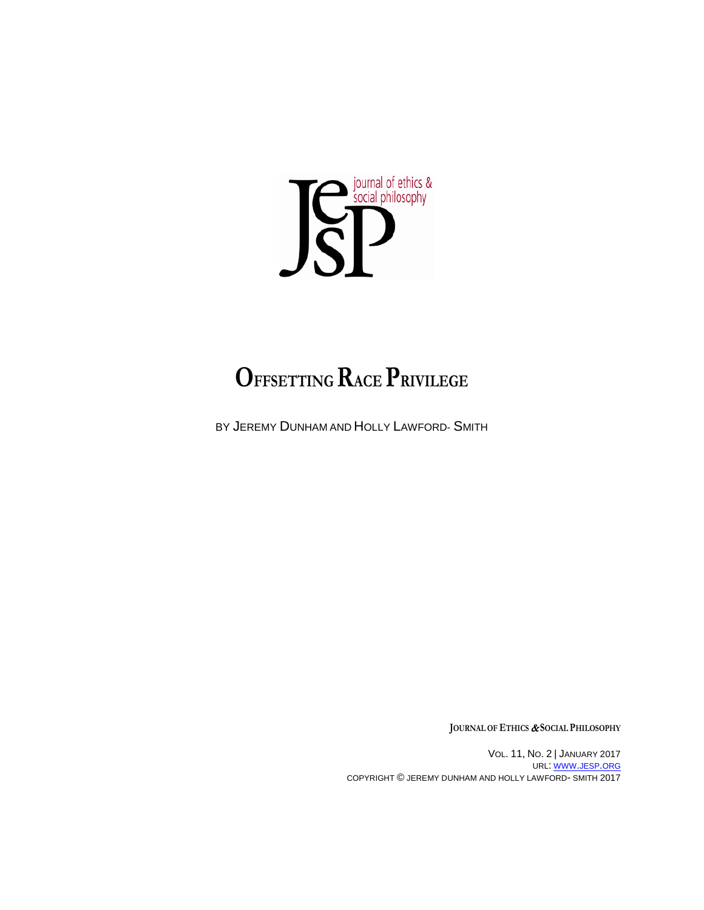

# **OFFSETTING RACE PRIVILEGE**

BY JEREMY DUNHAM AND HOLLY LAWFORD- SMITH

**JOURNAL OF ETHICS** & **SOCIAL PHILOSOPHY**

VOL. 11, NO. 2 | JANUARY 2017 URL: [WWW.JESP.ORG](http://www.jesp.org/) COPYRIGHT © JEREMY DUNHAM AND HOLLY LAWFORD- SMITH 2017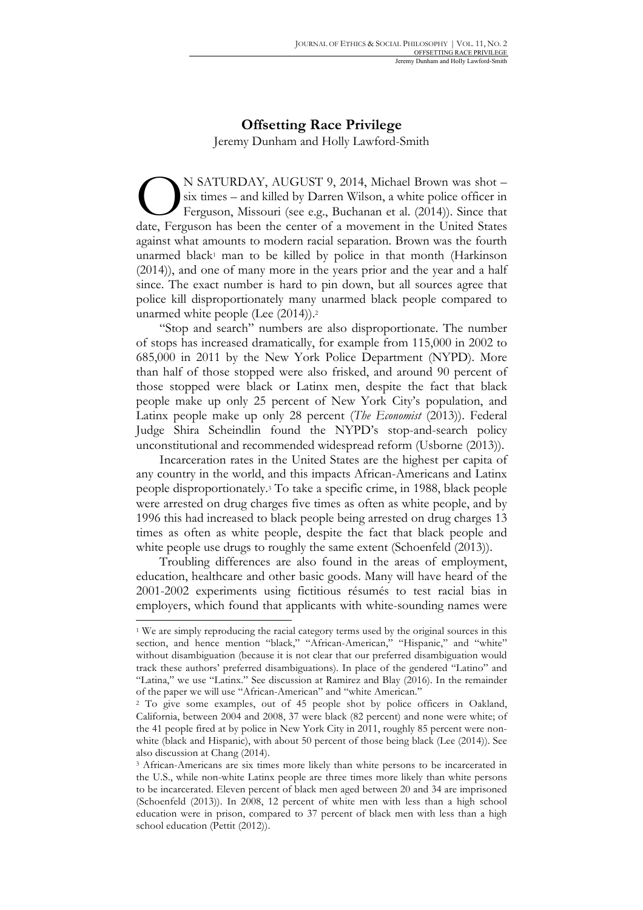# **Offsetting Race Privilege** Jeremy Dunham and Holly Lawford-Smith

N SATURDAY, AUGUST 9, 2014, Michael Brown was shot – six times – and killed by Darren Wilson, a white police officer in Ferguson, Missouri (see e.g., Buchanan et al. (2014)). Since that N SATURDAY, AUGUST 9, 2014, Michael Brown was shot – six times – and killed by Darren Wilson, a white police officer in Ferguson, Missouri (see e.g., Buchanan et al. (2014)). Since that date, Ferguson has been the center o against what amounts to modern racial separation. Brown was the fourth unarmed black<sup>1</sup> man to be killed by police in that month (Harkinson (2014)), and one of many more in the years prior and the year and a half since. The exact number is hard to pin down, but all sources agree that police kill disproportionately many unarmed black people compared to unarmed white people (Lee (2014)).2

"Stop and search" numbers are also disproportionate. The number of stops has increased dramatically, for example from 115,000 in 2002 to 685,000 in 2011 by the New York Police Department (NYPD). More than half of those stopped were also frisked, and around 90 percent of those stopped were black or Latinx men, despite the fact that black people make up only 25 percent of New York City's population, and Latinx people make up only 28 percent (*The Economist* (2013)). Federal Judge Shira Scheindlin found the NYPD's stop-and-search policy unconstitutional and recommended widespread reform (Usborne (2013)).

Incarceration rates in the United States are the highest per capita of any country in the world, and this impacts African-Americans and Latinx people disproportionately.3 To take a specific crime, in 1988, black people were arrested on drug charges five times as often as white people, and by 1996 this had increased to black people being arrested on drug charges 13 times as often as white people, despite the fact that black people and white people use drugs to roughly the same extent (Schoenfeld (2013)).

Troubling differences are also found in the areas of employment, education, healthcare and other basic goods. Many will have heard of the 2001-2002 experiments using fictitious résumés to test racial bias in employers, which found that applicants with white-sounding names were

<sup>1</sup> We are simply reproducing the racial category terms used by the original sources in this section, and hence mention "black," "African-American," "Hispanic," and "white" without disambiguation (because it is not clear that our preferred disambiguation would track these authors' preferred disambiguations). In place of the gendered "Latino" and "Latina," we use "Latinx." See discussion at Ramirez and Blay (2016). In the remainder of the paper we will use "African-American" and "white American."

<sup>2</sup> To give some examples, out of 45 people shot by police officers in Oakland, California, between 2004 and 2008, 37 were black (82 percent) and none were white; of the 41 people fired at by police in New York City in 2011, roughly 85 percent were nonwhite (black and Hispanic), with about 50 percent of those being black (Lee (2014)). See also discussion at Chang (2014).

<sup>3</sup> African-Americans are six times more likely than white persons to be incarcerated in the U.S., while non-white Latinx people are three times more likely than white persons to be incarcerated. Eleven percent of black men aged between 20 and 34 are imprisoned (Schoenfeld (2013)). In 2008, 12 percent of white men with less than a high school education were in prison, compared to 37 percent of black men with less than a high school education (Pettit (2012)).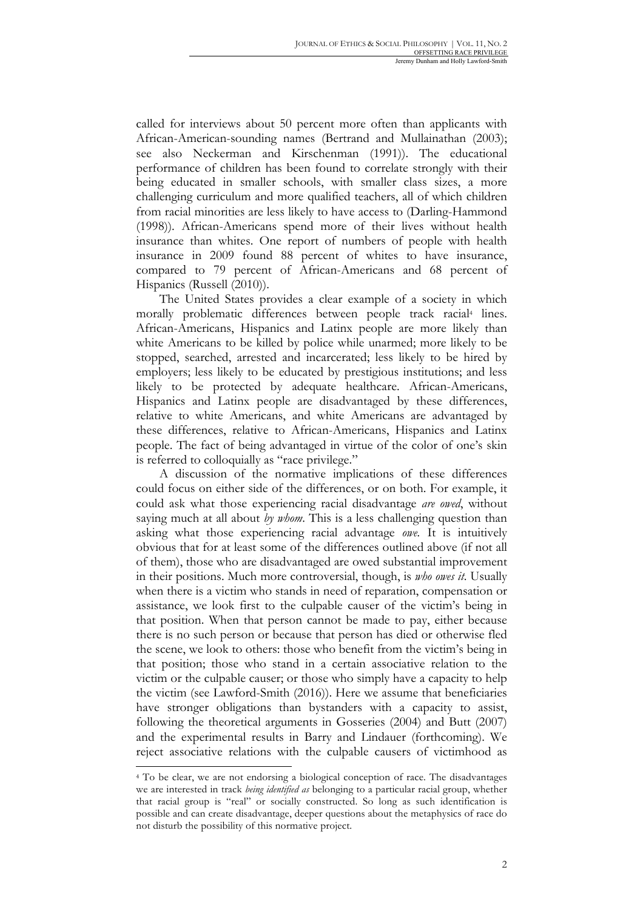called for interviews about 50 percent more often than applicants with African-American-sounding names (Bertrand and Mullainathan (2003); see also Neckerman and Kirschenman (1991)). The educational performance of children has been found to correlate strongly with their being educated in smaller schools, with smaller class sizes, a more challenging curriculum and more qualified teachers, all of which children from racial minorities are less likely to have access to (Darling-Hammond (1998)). African-Americans spend more of their lives without health insurance than whites. One report of numbers of people with health insurance in 2009 found 88 percent of whites to have insurance, compared to 79 percent of African-Americans and 68 percent of Hispanics (Russell (2010)).

The United States provides a clear example of a society in which morally problematic differences between people track racial<sup>4</sup> lines. African-Americans, Hispanics and Latinx people are more likely than white Americans to be killed by police while unarmed; more likely to be stopped, searched, arrested and incarcerated; less likely to be hired by employers; less likely to be educated by prestigious institutions; and less likely to be protected by adequate healthcare. African-Americans, Hispanics and Latinx people are disadvantaged by these differences, relative to white Americans, and white Americans are advantaged by these differences, relative to African-Americans, Hispanics and Latinx people. The fact of being advantaged in virtue of the color of one's skin is referred to colloquially as "race privilege."

A discussion of the normative implications of these differences could focus on either side of the differences, or on both. For example, it could ask what those experiencing racial disadvantage *are owed*, without saying much at all about *by whom*. This is a less challenging question than asking what those experiencing racial advantage *owe.* It is intuitively obvious that for at least some of the differences outlined above (if not all of them), those who are disadvantaged are owed substantial improvement in their positions. Much more controversial, though, is *who owes it*. Usually when there is a victim who stands in need of reparation, compensation or assistance, we look first to the culpable causer of the victim's being in that position. When that person cannot be made to pay, either because there is no such person or because that person has died or otherwise fled the scene, we look to others: those who benefit from the victim's being in that position; those who stand in a certain associative relation to the victim or the culpable causer; or those who simply have a capacity to help the victim (see Lawford-Smith (2016)). Here we assume that beneficiaries have stronger obligations than bystanders with a capacity to assist, following the theoretical arguments in Gosseries (2004) and Butt (2007) and the experimental results in Barry and Lindauer (forthcoming). We reject associative relations with the culpable causers of victimhood as

<sup>4</sup> To be clear, we are not endorsing a biological conception of race. The disadvantages we are interested in track *being identified as* belonging to a particular racial group, whether that racial group is "real" or socially constructed. So long as such identification is possible and can create disadvantage, deeper questions about the metaphysics of race do not disturb the possibility of this normative project.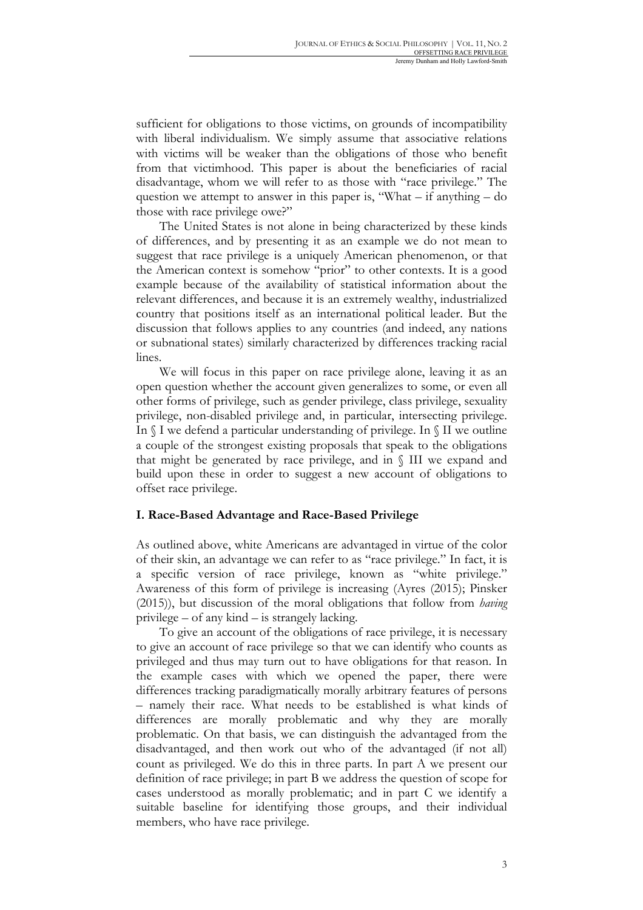sufficient for obligations to those victims, on grounds of incompatibility with liberal individualism. We simply assume that associative relations with victims will be weaker than the obligations of those who benefit from that victimhood. This paper is about the beneficiaries of racial disadvantage, whom we will refer to as those with "race privilege." The question we attempt to answer in this paper is, "What – if anything – do those with race privilege owe?"

The United States is not alone in being characterized by these kinds of differences, and by presenting it as an example we do not mean to suggest that race privilege is a uniquely American phenomenon, or that the American context is somehow "prior" to other contexts. It is a good example because of the availability of statistical information about the relevant differences, and because it is an extremely wealthy, industrialized country that positions itself as an international political leader. But the discussion that follows applies to any countries (and indeed, any nations or subnational states) similarly characterized by differences tracking racial lines.

We will focus in this paper on race privilege alone, leaving it as an open question whether the account given generalizes to some, or even all other forms of privilege, such as gender privilege, class privilege, sexuality privilege, non-disabled privilege and, in particular, intersecting privilege. In  $\int I$  we defend a particular understanding of privilege. In  $\int II$  we outline a couple of the strongest existing proposals that speak to the obligations that might be generated by race privilege, and in § III we expand and build upon these in order to suggest a new account of obligations to offset race privilege.

### **I. Race-Based Advantage and Race-Based Privilege**

As outlined above, white Americans are advantaged in virtue of the color of their skin, an advantage we can refer to as "race privilege." In fact, it is a specific version of race privilege, known as "white privilege." Awareness of this form of privilege is increasing (Ayres (2015); Pinsker (2015)), but discussion of the moral obligations that follow from *having*  privilege – of any kind – is strangely lacking.

To give an account of the obligations of race privilege, it is necessary to give an account of race privilege so that we can identify who counts as privileged and thus may turn out to have obligations for that reason. In the example cases with which we opened the paper, there were differences tracking paradigmatically morally arbitrary features of persons – namely their race. What needs to be established is what kinds of differences are morally problematic and why they are morally problematic. On that basis, we can distinguish the advantaged from the disadvantaged, and then work out who of the advantaged (if not all) count as privileged. We do this in three parts. In part A we present our definition of race privilege; in part B we address the question of scope for cases understood as morally problematic; and in part C we identify a suitable baseline for identifying those groups, and their individual members, who have race privilege.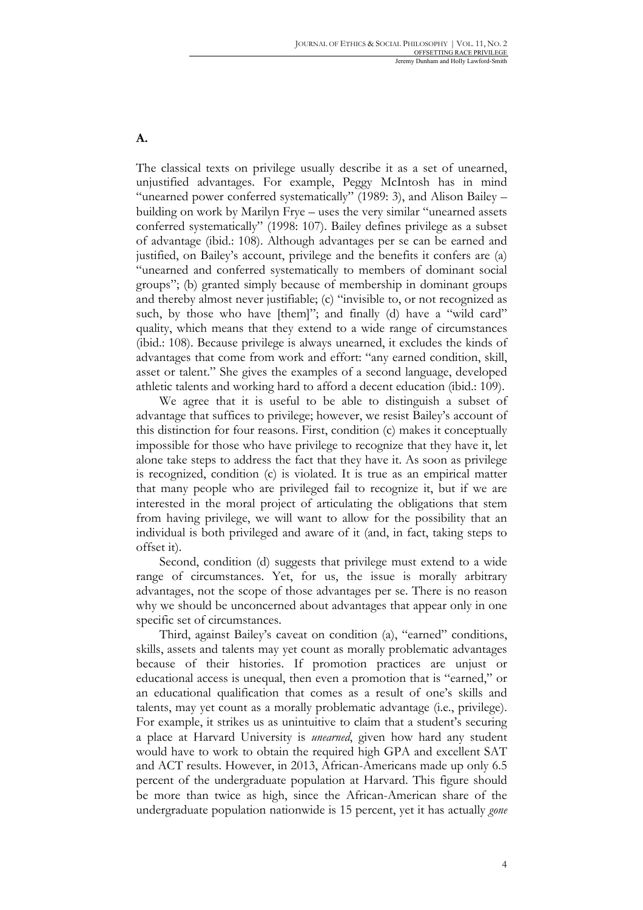**A.**

The classical texts on privilege usually describe it as a set of unearned, unjustified advantages. For example, Peggy McIntosh has in mind "unearned power conferred systematically" (1989: 3), and Alison Bailey – building on work by Marilyn Frye – uses the very similar "unearned assets conferred systematically" (1998: 107). Bailey defines privilege as a subset of advantage (ibid.: 108). Although advantages per se can be earned and justified, on Bailey's account, privilege and the benefits it confers are (a) "unearned and conferred systematically to members of dominant social groups"; (b) granted simply because of membership in dominant groups and thereby almost never justifiable; (c) "invisible to, or not recognized as such, by those who have [them]"; and finally (d) have a "wild card" quality, which means that they extend to a wide range of circumstances (ibid.: 108). Because privilege is always unearned, it excludes the kinds of advantages that come from work and effort: "any earned condition, skill, asset or talent." She gives the examples of a second language, developed athletic talents and working hard to afford a decent education (ibid.: 109).

We agree that it is useful to be able to distinguish a subset of advantage that suffices to privilege; however, we resist Bailey's account of this distinction for four reasons. First, condition (c) makes it conceptually impossible for those who have privilege to recognize that they have it, let alone take steps to address the fact that they have it. As soon as privilege is recognized, condition (c) is violated. It is true as an empirical matter that many people who are privileged fail to recognize it, but if we are interested in the moral project of articulating the obligations that stem from having privilege, we will want to allow for the possibility that an individual is both privileged and aware of it (and, in fact, taking steps to offset it).

Second, condition (d) suggests that privilege must extend to a wide range of circumstances. Yet, for us, the issue is morally arbitrary advantages, not the scope of those advantages per se. There is no reason why we should be unconcerned about advantages that appear only in one specific set of circumstances.

Third, against Bailey's caveat on condition (a), "earned" conditions, skills, assets and talents may yet count as morally problematic advantages because of their histories. If promotion practices are unjust or educational access is unequal, then even a promotion that is "earned," or an educational qualification that comes as a result of one's skills and talents, may yet count as a morally problematic advantage (i.e., privilege). For example, it strikes us as unintuitive to claim that a student's securing a place at Harvard University is *unearned*, given how hard any student would have to work to obtain the required high GPA and excellent SAT and ACT results. However, in 2013, African-Americans made up only 6.5 percent of the undergraduate population at Harvard. This figure should be more than twice as high, since the African-American share of the undergraduate population nationwide is 15 percent, yet it has actually *gone*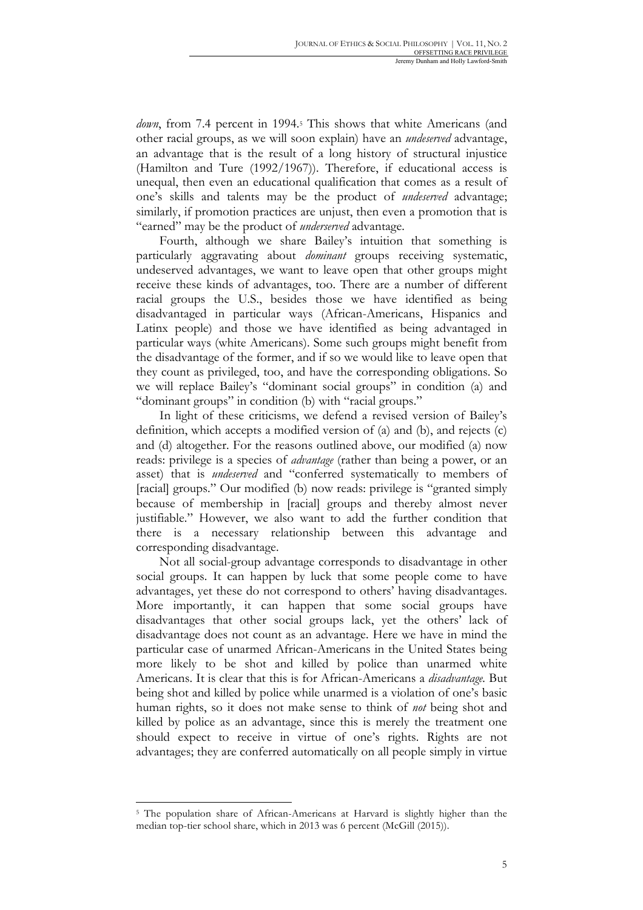*down*, from 7.4 percent in 1994.<sup>5</sup> This shows that white Americans (and other racial groups, as we will soon explain) have an *undeserved* advantage, an advantage that is the result of a long history of structural injustice (Hamilton and Ture (1992/1967)). Therefore, if educational access is unequal, then even an educational qualification that comes as a result of one's skills and talents may be the product of *undeserved* advantage; similarly, if promotion practices are unjust, then even a promotion that is "earned" may be the product of *underserved* advantage.

Fourth, although we share Bailey's intuition that something is particularly aggravating about *dominant* groups receiving systematic, undeserved advantages, we want to leave open that other groups might receive these kinds of advantages, too. There are a number of different racial groups the U.S., besides those we have identified as being disadvantaged in particular ways (African-Americans, Hispanics and Latinx people) and those we have identified as being advantaged in particular ways (white Americans). Some such groups might benefit from the disadvantage of the former, and if so we would like to leave open that they count as privileged, too, and have the corresponding obligations. So we will replace Bailey's "dominant social groups" in condition (a) and "dominant groups" in condition (b) with "racial groups."

In light of these criticisms, we defend a revised version of Bailey's definition, which accepts a modified version of (a) and (b), and rejects (c) and (d) altogether. For the reasons outlined above, our modified (a) now reads: privilege is a species of *advantage* (rather than being a power, or an asset) that is *undeserved* and "conferred systematically to members of [racial] groups." Our modified (b) now reads: privilege is "granted simply because of membership in [racial] groups and thereby almost never justifiable." However, we also want to add the further condition that there is a necessary relationship between this advantage and corresponding disadvantage.

Not all social-group advantage corresponds to disadvantage in other social groups. It can happen by luck that some people come to have advantages, yet these do not correspond to others' having disadvantages. More importantly, it can happen that some social groups have disadvantages that other social groups lack, yet the others' lack of disadvantage does not count as an advantage. Here we have in mind the particular case of unarmed African-Americans in the United States being more likely to be shot and killed by police than unarmed white Americans. It is clear that this is for African-Americans a *disadvantage.* But being shot and killed by police while unarmed is a violation of one's basic human rights, so it does not make sense to think of *not* being shot and killed by police as an advantage, since this is merely the treatment one should expect to receive in virtue of one's rights. Rights are not advantages; they are conferred automatically on all people simply in virtue

<sup>5</sup> The population share of African-Americans at Harvard is slightly higher than the median top-tier school share, which in 2013 was 6 percent (McGill (2015)).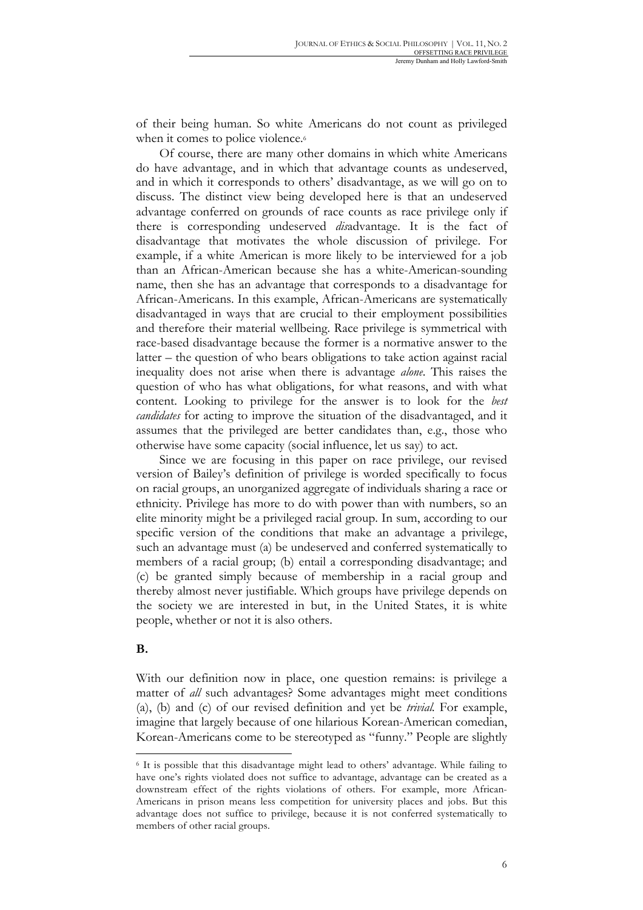of their being human. So white Americans do not count as privileged when it comes to police violence.<sup>6</sup>

Of course, there are many other domains in which white Americans do have advantage, and in which that advantage counts as undeserved, and in which it corresponds to others' disadvantage, as we will go on to discuss. The distinct view being developed here is that an undeserved advantage conferred on grounds of race counts as race privilege only if there is corresponding undeserved *dis*advantage. It is the fact of disadvantage that motivates the whole discussion of privilege. For example, if a white American is more likely to be interviewed for a job than an African-American because she has a white-American-sounding name, then she has an advantage that corresponds to a disadvantage for African-Americans. In this example, African-Americans are systematically disadvantaged in ways that are crucial to their employment possibilities and therefore their material wellbeing. Race privilege is symmetrical with race-based disadvantage because the former is a normative answer to the latter – the question of who bears obligations to take action against racial inequality does not arise when there is advantage *alone*. This raises the question of who has what obligations, for what reasons, and with what content. Looking to privilege for the answer is to look for the *best candidates* for acting to improve the situation of the disadvantaged, and it assumes that the privileged are better candidates than, e.g., those who otherwise have some capacity (social influence, let us say) to act.

Since we are focusing in this paper on race privilege, our revised version of Bailey's definition of privilege is worded specifically to focus on racial groups, an unorganized aggregate of individuals sharing a race or ethnicity. Privilege has more to do with power than with numbers, so an elite minority might be a privileged racial group. In sum, according to our specific version of the conditions that make an advantage a privilege, such an advantage must (a) be undeserved and conferred systematically to members of a racial group; (b) entail a corresponding disadvantage; and (c) be granted simply because of membership in a racial group and thereby almost never justifiable. Which groups have privilege depends on the society we are interested in but, in the United States, it is white people, whether or not it is also others.

### **B.**

 $\overline{a}$ 

With our definition now in place, one question remains: is privilege a matter of *all* such advantages? Some advantages might meet conditions (a), (b) and (c) of our revised definition and yet be *trivial.* For example, imagine that largely because of one hilarious Korean-American comedian, Korean-Americans come to be stereotyped as "funny." People are slightly

<sup>6</sup> It is possible that this disadvantage might lead to others' advantage. While failing to have one's rights violated does not suffice to advantage, advantage can be created as a downstream effect of the rights violations of others. For example, more African-Americans in prison means less competition for university places and jobs. But this advantage does not suffice to privilege, because it is not conferred systematically to members of other racial groups.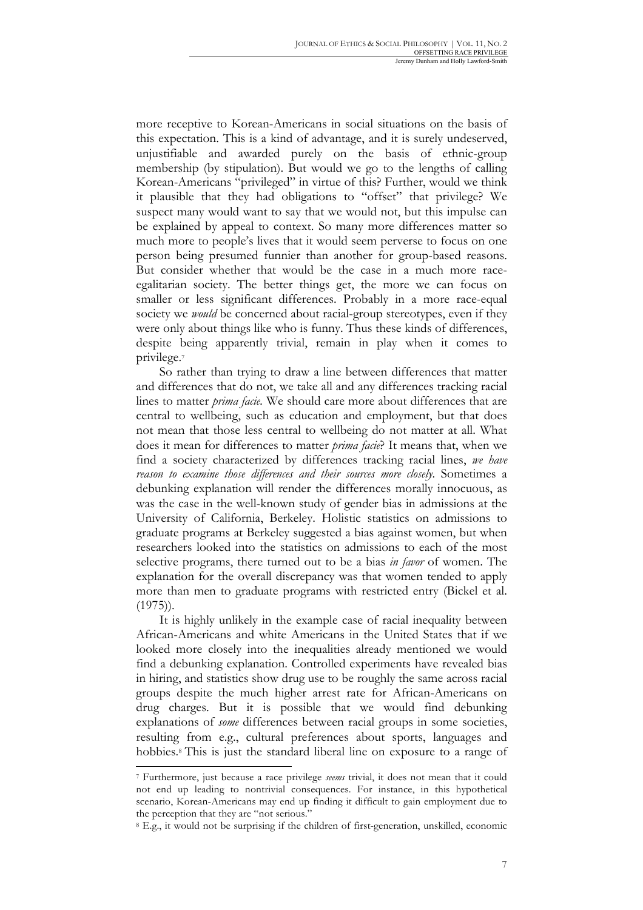more receptive to Korean-Americans in social situations on the basis of this expectation. This is a kind of advantage, and it is surely undeserved, unjustifiable and awarded purely on the basis of ethnic-group membership (by stipulation). But would we go to the lengths of calling Korean-Americans "privileged" in virtue of this? Further, would we think it plausible that they had obligations to "offset" that privilege? We suspect many would want to say that we would not, but this impulse can be explained by appeal to context. So many more differences matter so much more to people's lives that it would seem perverse to focus on one person being presumed funnier than another for group-based reasons. But consider whether that would be the case in a much more raceegalitarian society. The better things get, the more we can focus on smaller or less significant differences. Probably in a more race-equal society we *would* be concerned about racial-group stereotypes, even if they were only about things like who is funny. Thus these kinds of differences, despite being apparently trivial, remain in play when it comes to privilege.7

So rather than trying to draw a line between differences that matter and differences that do not, we take all and any differences tracking racial lines to matter *prima facie.* We should care more about differences that are central to wellbeing, such as education and employment, but that does not mean that those less central to wellbeing do not matter at all. What does it mean for differences to matter *prima facie*? It means that, when we find a society characterized by differences tracking racial lines, *we have reason to examine those differences and their sources more closely*. Sometimes a debunking explanation will render the differences morally innocuous, as was the case in the well-known study of gender bias in admissions at the University of California, Berkeley. Holistic statistics on admissions to graduate programs at Berkeley suggested a bias against women, but when researchers looked into the statistics on admissions to each of the most selective programs, there turned out to be a bias *in favor* of women. The explanation for the overall discrepancy was that women tended to apply more than men to graduate programs with restricted entry (Bickel et al.  $(1975)$ .

It is highly unlikely in the example case of racial inequality between African-Americans and white Americans in the United States that if we looked more closely into the inequalities already mentioned we would find a debunking explanation. Controlled experiments have revealed bias in hiring, and statistics show drug use to be roughly the same across racial groups despite the much higher arrest rate for African-Americans on drug charges. But it is possible that we would find debunking explanations of *some* differences between racial groups in some societies, resulting from e.g., cultural preferences about sports, languages and hobbies.<sup>8</sup> This is just the standard liberal line on exposure to a range of

<sup>7</sup> Furthermore, just because a race privilege *seems* trivial, it does not mean that it could not end up leading to nontrivial consequences. For instance, in this hypothetical scenario, Korean-Americans may end up finding it difficult to gain employment due to the perception that they are "not serious."

<sup>8</sup> E.g., it would not be surprising if the children of first-generation, unskilled, economic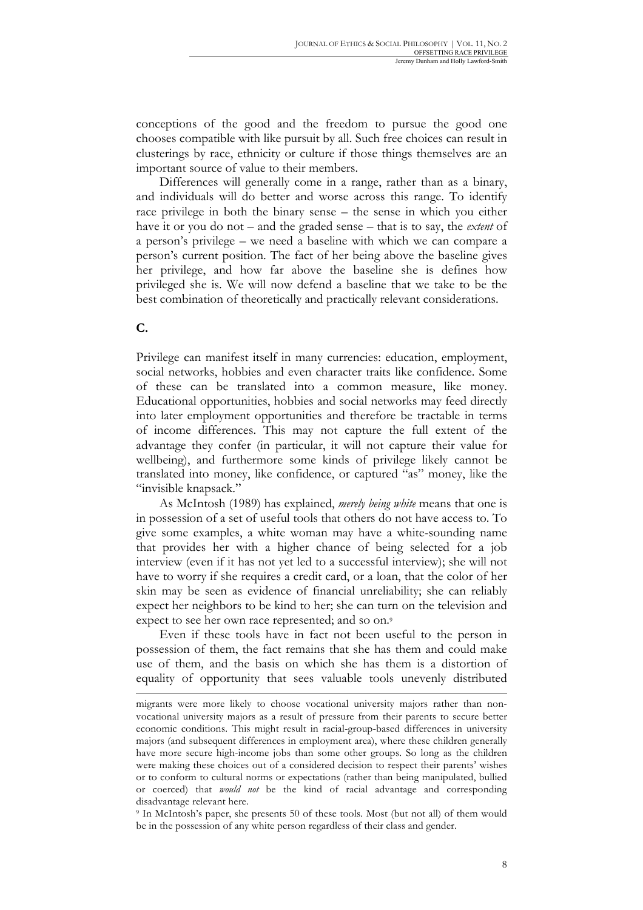conceptions of the good and the freedom to pursue the good one chooses compatible with like pursuit by all. Such free choices can result in clusterings by race, ethnicity or culture if those things themselves are an important source of value to their members.

Differences will generally come in a range, rather than as a binary, and individuals will do better and worse across this range. To identify race privilege in both the binary sense – the sense in which you either have it or you do not – and the graded sense – that is to say, the *extent* of a person's privilege – we need a baseline with which we can compare a person's current position. The fact of her being above the baseline gives her privilege, and how far above the baseline she is defines how privileged she is. We will now defend a baseline that we take to be the best combination of theoretically and practically relevant considerations.

**C.**

 $\overline{\phantom{a}}$ 

Privilege can manifest itself in many currencies: education, employment, social networks, hobbies and even character traits like confidence. Some of these can be translated into a common measure, like money. Educational opportunities, hobbies and social networks may feed directly into later employment opportunities and therefore be tractable in terms of income differences. This may not capture the full extent of the advantage they confer (in particular, it will not capture their value for wellbeing), and furthermore some kinds of privilege likely cannot be translated into money, like confidence, or captured "as" money, like the "invisible knapsack."

As McIntosh (1989) has explained, *merely being white* means that one is in possession of a set of useful tools that others do not have access to. To give some examples, a white woman may have a white-sounding name that provides her with a higher chance of being selected for a job interview (even if it has not yet led to a successful interview); she will not have to worry if she requires a credit card, or a loan, that the color of her skin may be seen as evidence of financial unreliability; she can reliably expect her neighbors to be kind to her; she can turn on the television and expect to see her own race represented; and so on.9

Even if these tools have in fact not been useful to the person in possession of them, the fact remains that she has them and could make use of them, and the basis on which she has them is a distortion of equality of opportunity that sees valuable tools unevenly distributed

migrants were more likely to choose vocational university majors rather than nonvocational university majors as a result of pressure from their parents to secure better economic conditions. This might result in racial-group-based differences in university majors (and subsequent differences in employment area), where these children generally have more secure high-income jobs than some other groups. So long as the children were making these choices out of a considered decision to respect their parents' wishes or to conform to cultural norms or expectations (rather than being manipulated, bullied or coerced) that *would not* be the kind of racial advantage and corresponding disadvantage relevant here.

<sup>9</sup> In McIntosh's paper, she presents 50 of these tools. Most (but not all) of them would be in the possession of any white person regardless of their class and gender.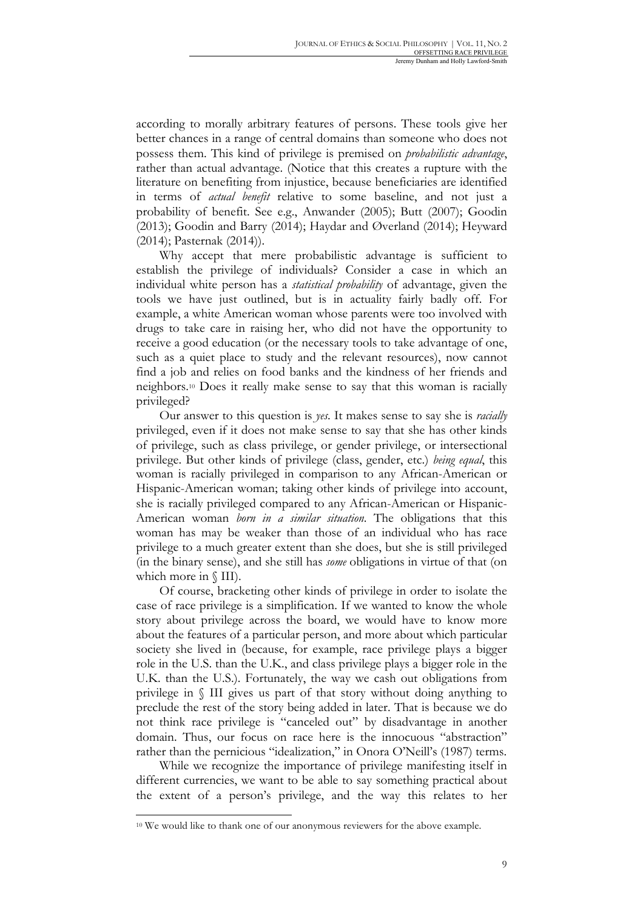according to morally arbitrary features of persons. These tools give her better chances in a range of central domains than someone who does not possess them. This kind of privilege is premised on *probabilistic advantage*, rather than actual advantage. (Notice that this creates a rupture with the literature on benefiting from injustice, because beneficiaries are identified in terms of *actual benefit* relative to some baseline, and not just a probability of benefit. See e.g., Anwander (2005); Butt (2007); Goodin (2013); Goodin and Barry (2014); Haydar and Øverland (2014); Heyward (2014); Pasternak (2014)).

Why accept that mere probabilistic advantage is sufficient to establish the privilege of individuals? Consider a case in which an individual white person has a *statistical probability* of advantage, given the tools we have just outlined, but is in actuality fairly badly off. For example, a white American woman whose parents were too involved with drugs to take care in raising her, who did not have the opportunity to receive a good education (or the necessary tools to take advantage of one, such as a quiet place to study and the relevant resources), now cannot find a job and relies on food banks and the kindness of her friends and neighbors.10 Does it really make sense to say that this woman is racially privileged?

Our answer to this question is *yes*. It makes sense to say she is *racially*  privileged, even if it does not make sense to say that she has other kinds of privilege, such as class privilege, or gender privilege, or intersectional privilege. But other kinds of privilege (class, gender, etc.) *being equal*, this woman is racially privileged in comparison to any African-American or Hispanic-American woman; taking other kinds of privilege into account, she is racially privileged compared to any African-American or Hispanic-American woman *born in a similar situation*. The obligations that this woman has may be weaker than those of an individual who has race privilege to a much greater extent than she does, but she is still privileged (in the binary sense), and she still has *some* obligations in virtue of that (on which more in  $\langle$  III).

Of course, bracketing other kinds of privilege in order to isolate the case of race privilege is a simplification. If we wanted to know the whole story about privilege across the board, we would have to know more about the features of a particular person, and more about which particular society she lived in (because, for example, race privilege plays a bigger role in the U.S. than the U.K., and class privilege plays a bigger role in the U.K. than the U.S.). Fortunately, the way we cash out obligations from privilege in § III gives us part of that story without doing anything to preclude the rest of the story being added in later. That is because we do not think race privilege is "canceled out" by disadvantage in another domain. Thus, our focus on race here is the innocuous "abstraction" rather than the pernicious "idealization," in Onora O'Neill's (1987) terms.

While we recognize the importance of privilege manifesting itself in different currencies, we want to be able to say something practical about the extent of a person's privilege, and the way this relates to her

<sup>10</sup> We would like to thank one of our anonymous reviewers for the above example.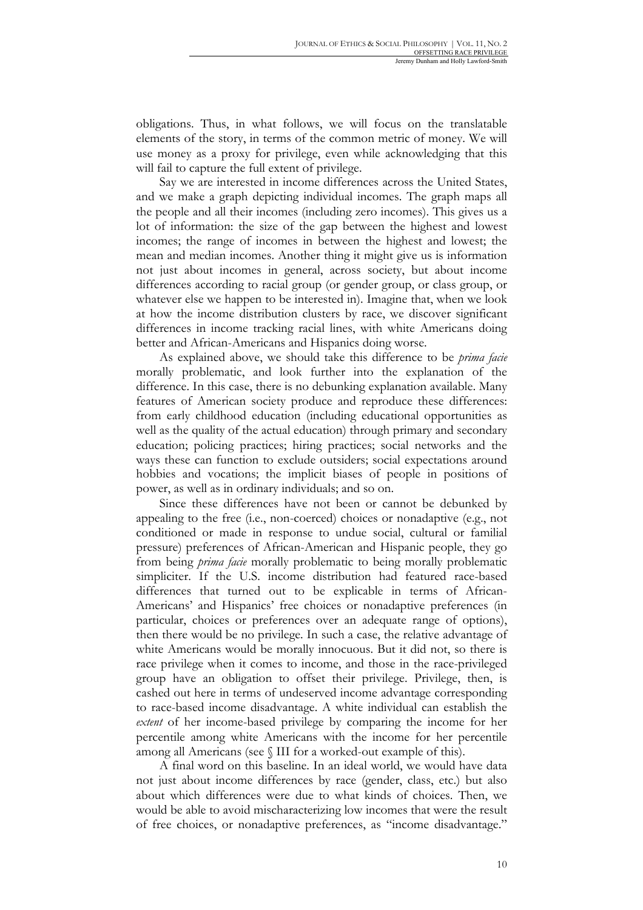obligations. Thus, in what follows, we will focus on the translatable elements of the story, in terms of the common metric of money. We will use money as a proxy for privilege, even while acknowledging that this will fail to capture the full extent of privilege.

Say we are interested in income differences across the United States, and we make a graph depicting individual incomes. The graph maps all the people and all their incomes (including zero incomes). This gives us a lot of information: the size of the gap between the highest and lowest incomes; the range of incomes in between the highest and lowest; the mean and median incomes. Another thing it might give us is information not just about incomes in general, across society, but about income differences according to racial group (or gender group, or class group, or whatever else we happen to be interested in). Imagine that, when we look at how the income distribution clusters by race, we discover significant differences in income tracking racial lines, with white Americans doing better and African-Americans and Hispanics doing worse.

As explained above, we should take this difference to be *prima facie* morally problematic, and look further into the explanation of the difference. In this case, there is no debunking explanation available. Many features of American society produce and reproduce these differences: from early childhood education (including educational opportunities as well as the quality of the actual education) through primary and secondary education; policing practices; hiring practices; social networks and the ways these can function to exclude outsiders; social expectations around hobbies and vocations; the implicit biases of people in positions of power, as well as in ordinary individuals; and so on.

Since these differences have not been or cannot be debunked by appealing to the free (i.e., non-coerced) choices or nonadaptive (e.g., not conditioned or made in response to undue social, cultural or familial pressure) preferences of African-American and Hispanic people, they go from being *prima facie* morally problematic to being morally problematic simpliciter. If the U.S. income distribution had featured race-based differences that turned out to be explicable in terms of African-Americans' and Hispanics' free choices or nonadaptive preferences (in particular, choices or preferences over an adequate range of options), then there would be no privilege. In such a case, the relative advantage of white Americans would be morally innocuous. But it did not, so there is race privilege when it comes to income, and those in the race-privileged group have an obligation to offset their privilege. Privilege, then, is cashed out here in terms of undeserved income advantage corresponding to race-based income disadvantage. A white individual can establish the *extent* of her income-based privilege by comparing the income for her percentile among white Americans with the income for her percentile among all Americans (see § III for a worked-out example of this).

A final word on this baseline. In an ideal world, we would have data not just about income differences by race (gender, class, etc.) but also about which differences were due to what kinds of choices. Then, we would be able to avoid mischaracterizing low incomes that were the result of free choices, or nonadaptive preferences, as "income disadvantage."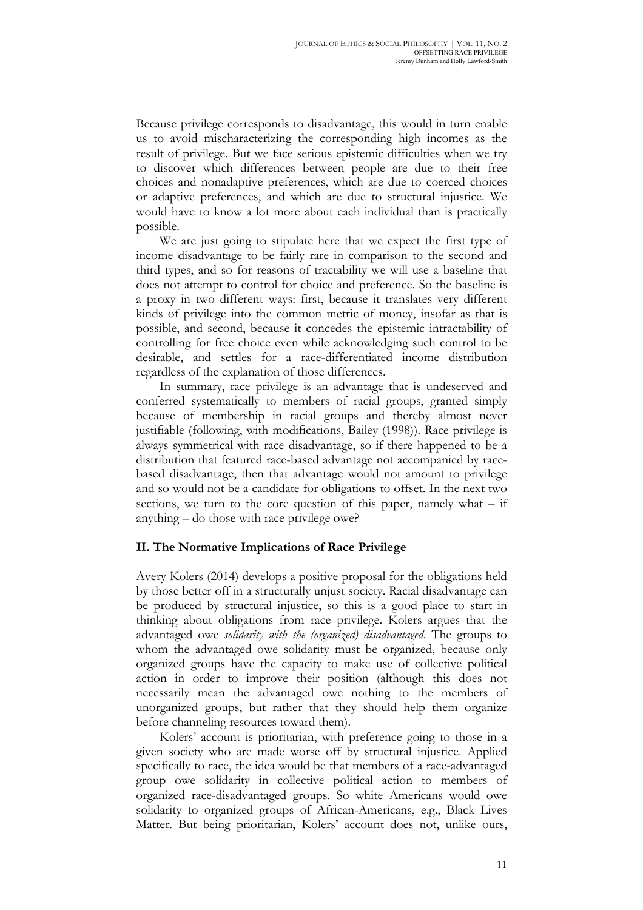Because privilege corresponds to disadvantage, this would in turn enable us to avoid mischaracterizing the corresponding high incomes as the result of privilege. But we face serious epistemic difficulties when we try to discover which differences between people are due to their free choices and nonadaptive preferences, which are due to coerced choices or adaptive preferences, and which are due to structural injustice. We would have to know a lot more about each individual than is practically possible.

We are just going to stipulate here that we expect the first type of income disadvantage to be fairly rare in comparison to the second and third types, and so for reasons of tractability we will use a baseline that does not attempt to control for choice and preference. So the baseline is a proxy in two different ways: first, because it translates very different kinds of privilege into the common metric of money, insofar as that is possible, and second, because it concedes the epistemic intractability of controlling for free choice even while acknowledging such control to be desirable, and settles for a race-differentiated income distribution regardless of the explanation of those differences.

In summary, race privilege is an advantage that is undeserved and conferred systematically to members of racial groups, granted simply because of membership in racial groups and thereby almost never justifiable (following, with modifications, Bailey (1998)). Race privilege is always symmetrical with race disadvantage, so if there happened to be a distribution that featured race-based advantage not accompanied by racebased disadvantage, then that advantage would not amount to privilege and so would not be a candidate for obligations to offset. In the next two sections, we turn to the core question of this paper, namely what  $-$  if anything – do those with race privilege owe?

### **II. The Normative Implications of Race Privilege**

Avery Kolers (2014) develops a positive proposal for the obligations held by those better off in a structurally unjust society. Racial disadvantage can be produced by structural injustice, so this is a good place to start in thinking about obligations from race privilege. Kolers argues that the advantaged owe *solidarity with the (organized) disadvantaged*. The groups to whom the advantaged owe solidarity must be organized, because only organized groups have the capacity to make use of collective political action in order to improve their position (although this does not necessarily mean the advantaged owe nothing to the members of unorganized groups, but rather that they should help them organize before channeling resources toward them).

Kolers' account is prioritarian, with preference going to those in a given society who are made worse off by structural injustice. Applied specifically to race, the idea would be that members of a race-advantaged group owe solidarity in collective political action to members of organized race-disadvantaged groups. So white Americans would owe solidarity to organized groups of African-Americans, e.g., Black Lives Matter. But being prioritarian, Kolers' account does not, unlike ours,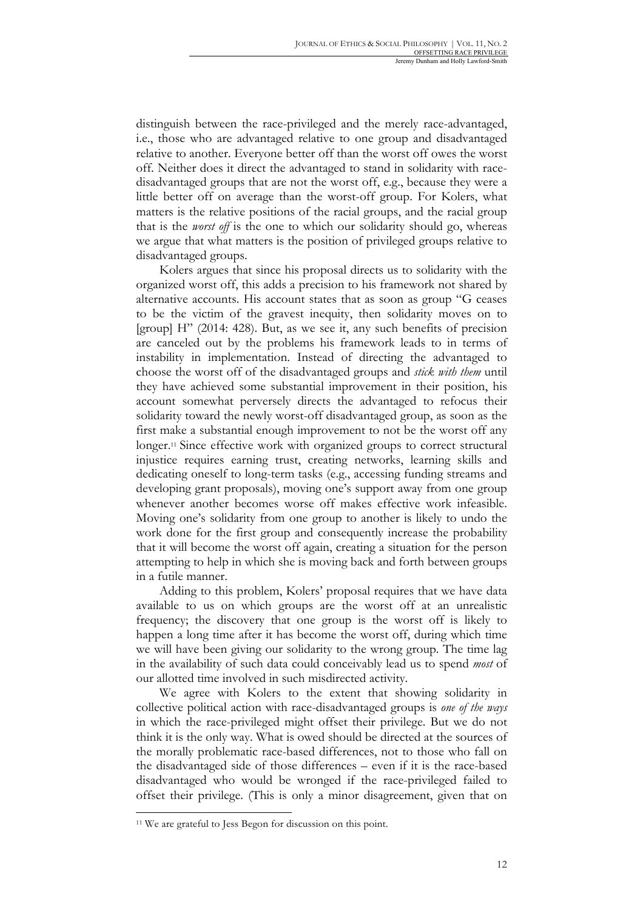distinguish between the race-privileged and the merely race-advantaged, i.e., those who are advantaged relative to one group and disadvantaged relative to another. Everyone better off than the worst off owes the worst off. Neither does it direct the advantaged to stand in solidarity with racedisadvantaged groups that are not the worst off, e.g., because they were a little better off on average than the worst-off group. For Kolers, what matters is the relative positions of the racial groups, and the racial group that is the *worst off* is the one to which our solidarity should go, whereas we argue that what matters is the position of privileged groups relative to disadvantaged groups.

Kolers argues that since his proposal directs us to solidarity with the organized worst off, this adds a precision to his framework not shared by alternative accounts. His account states that as soon as group "G ceases to be the victim of the gravest inequity, then solidarity moves on to [group] H" (2014: 428). But, as we see it, any such benefits of precision are canceled out by the problems his framework leads to in terms of instability in implementation. Instead of directing the advantaged to choose the worst off of the disadvantaged groups and *stick with them* until they have achieved some substantial improvement in their position, his account somewhat perversely directs the advantaged to refocus their solidarity toward the newly worst-off disadvantaged group, as soon as the first make a substantial enough improvement to not be the worst off any longer.11 Since effective work with organized groups to correct structural injustice requires earning trust, creating networks, learning skills and dedicating oneself to long-term tasks (e.g., accessing funding streams and developing grant proposals), moving one's support away from one group whenever another becomes worse off makes effective work infeasible. Moving one's solidarity from one group to another is likely to undo the work done for the first group and consequently increase the probability that it will become the worst off again, creating a situation for the person attempting to help in which she is moving back and forth between groups in a futile manner.

Adding to this problem, Kolers' proposal requires that we have data available to us on which groups are the worst off at an unrealistic frequency; the discovery that one group is the worst off is likely to happen a long time after it has become the worst off, during which time we will have been giving our solidarity to the wrong group. The time lag in the availability of such data could conceivably lead us to spend *most* of our allotted time involved in such misdirected activity.

We agree with Kolers to the extent that showing solidarity in collective political action with race-disadvantaged groups is *one of the ways*  in which the race-privileged might offset their privilege. But we do not think it is the only way. What is owed should be directed at the sources of the morally problematic race-based differences, not to those who fall on the disadvantaged side of those differences – even if it is the race-based disadvantaged who would be wronged if the race-privileged failed to offset their privilege. (This is only a minor disagreement, given that on

<sup>&</sup>lt;sup>11</sup> We are grateful to Jess Begon for discussion on this point.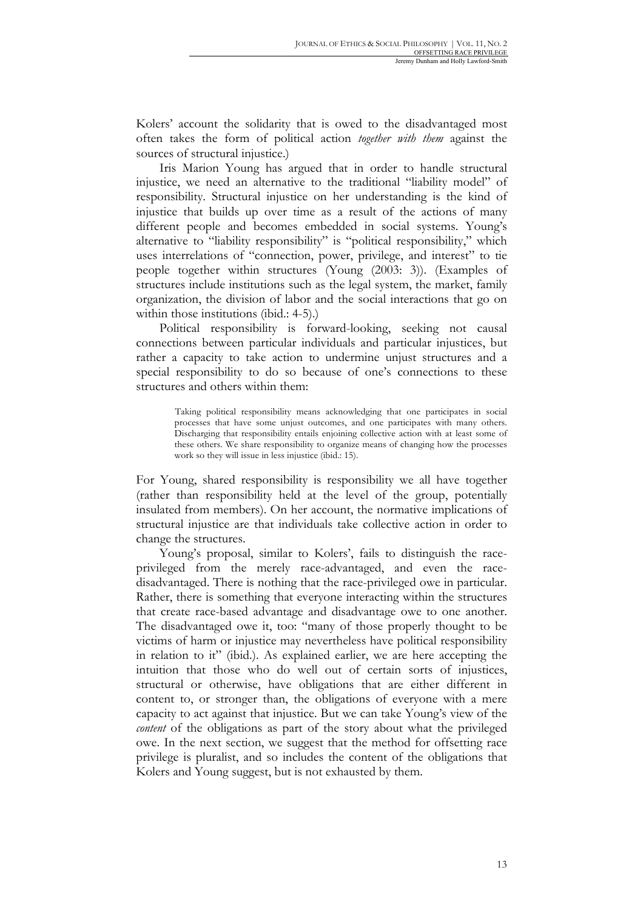Kolers' account the solidarity that is owed to the disadvantaged most often takes the form of political action *together with them* against the sources of structural injustice.)

Iris Marion Young has argued that in order to handle structural injustice, we need an alternative to the traditional "liability model" of responsibility. Structural injustice on her understanding is the kind of injustice that builds up over time as a result of the actions of many different people and becomes embedded in social systems. Young's alternative to "liability responsibility" is "political responsibility," which uses interrelations of "connection, power, privilege, and interest" to tie people together within structures (Young (2003: 3)). (Examples of structures include institutions such as the legal system, the market, family organization, the division of labor and the social interactions that go on within those institutions (ibid.: 4-5).)

Political responsibility is forward-looking, seeking not causal connections between particular individuals and particular injustices, but rather a capacity to take action to undermine unjust structures and a special responsibility to do so because of one's connections to these structures and others within them:

> Taking political responsibility means acknowledging that one participates in social processes that have some unjust outcomes, and one participates with many others. Discharging that responsibility entails enjoining collective action with at least some of these others. We share responsibility to organize means of changing how the processes work so they will issue in less injustice (ibid.: 15).

For Young, shared responsibility is responsibility we all have together (rather than responsibility held at the level of the group, potentially insulated from members). On her account, the normative implications of structural injustice are that individuals take collective action in order to change the structures.

Young's proposal, similar to Kolers', fails to distinguish the raceprivileged from the merely race-advantaged, and even the racedisadvantaged. There is nothing that the race-privileged owe in particular. Rather, there is something that everyone interacting within the structures that create race-based advantage and disadvantage owe to one another. The disadvantaged owe it, too: "many of those properly thought to be victims of harm or injustice may nevertheless have political responsibility in relation to it" (ibid.). As explained earlier, we are here accepting the intuition that those who do well out of certain sorts of injustices, structural or otherwise, have obligations that are either different in content to, or stronger than, the obligations of everyone with a mere capacity to act against that injustice. But we can take Young's view of the *content* of the obligations as part of the story about what the privileged owe. In the next section, we suggest that the method for offsetting race privilege is pluralist, and so includes the content of the obligations that Kolers and Young suggest, but is not exhausted by them.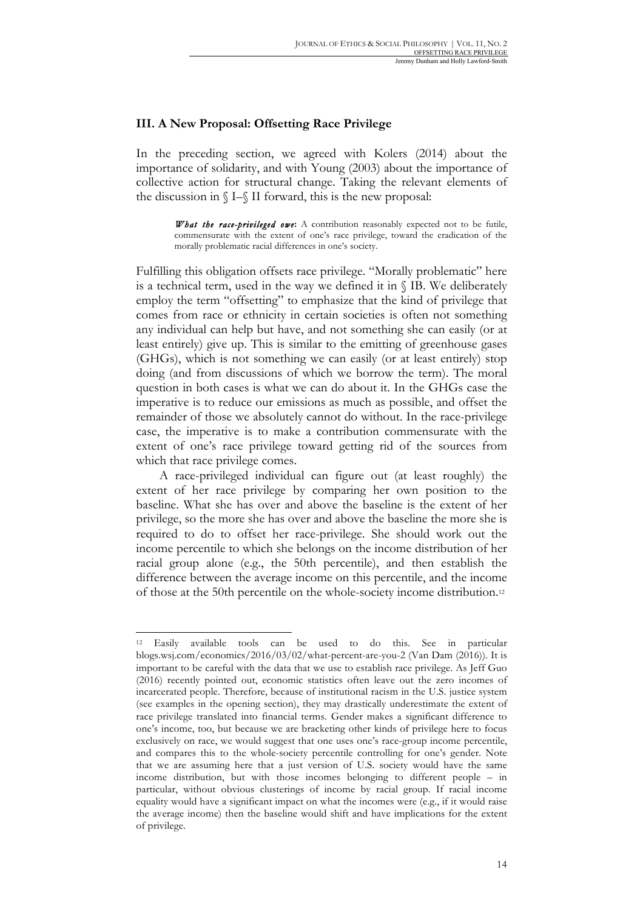### **III. A New Proposal: Offsetting Race Privilege**

In the preceding section, we agreed with Kolers (2014) about the importance of solidarity, and with Young (2003) about the importance of collective action for structural change. Taking the relevant elements of the discussion in  $\S$ I– $\S$ II forward, this is the new proposal:

> *What the race-privileged owe***:** A contribution reasonably expected not to be futile, commensurate with the extent of one's race privilege, toward the eradication of the morally problematic racial differences in one's society.

Fulfilling this obligation offsets race privilege. "Morally problematic" here is a technical term, used in the way we defined it in § IB. We deliberately employ the term "offsetting" to emphasize that the kind of privilege that comes from race or ethnicity in certain societies is often not something any individual can help but have, and not something she can easily (or at least entirely) give up. This is similar to the emitting of greenhouse gases (GHGs), which is not something we can easily (or at least entirely) stop doing (and from discussions of which we borrow the term). The moral question in both cases is what we can do about it. In the GHGs case the imperative is to reduce our emissions as much as possible, and offset the remainder of those we absolutely cannot do without. In the race-privilege case, the imperative is to make a contribution commensurate with the extent of one's race privilege toward getting rid of the sources from which that race privilege comes.

A race-privileged individual can figure out (at least roughly) the extent of her race privilege by comparing her own position to the baseline. What she has over and above the baseline is the extent of her privilege, so the more she has over and above the baseline the more she is required to do to offset her race-privilege. She should work out the income percentile to which she belongs on the income distribution of her racial group alone (e.g., the 50th percentile), and then establish the difference between the average income on this percentile, and the income of those at the 50th percentile on the whole-society income distribution.12

<sup>12</sup> Easily available tools can be used to do this. See in particular blogs.wsj.com/economics/2016/03/02/what-percent-are-you-2 (Van Dam (2016)). It is important to be careful with the data that we use to establish race privilege. As Jeff Guo (2016) recently pointed out, economic statistics often leave out the zero incomes of incarcerated people. Therefore, because of institutional racism in the U.S. justice system (see examples in the opening section), they may drastically underestimate the extent of race privilege translated into financial terms. Gender makes a significant difference to one's income, too, but because we are bracketing other kinds of privilege here to focus exclusively on race, we would suggest that one uses one's race-group income percentile, and compares this to the whole-society percentile controlling for one's gender. Note that we are assuming here that a just version of U.S. society would have the same income distribution, but with those incomes belonging to different people – in particular, without obvious clusterings of income by racial group. If racial income equality would have a significant impact on what the incomes were (e.g., if it would raise the average income) then the baseline would shift and have implications for the extent of privilege.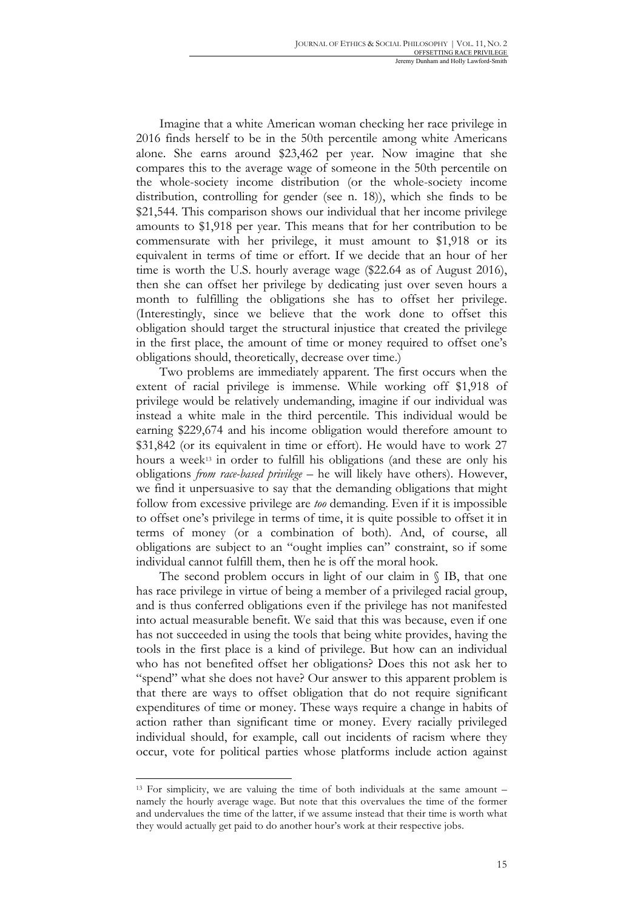Imagine that a white American woman checking her race privilege in 2016 finds herself to be in the 50th percentile among white Americans alone. She earns around \$23,462 per year. Now imagine that she compares this to the average wage of someone in the 50th percentile on the whole-society income distribution (or the whole-society income distribution, controlling for gender (see n. 18)), which she finds to be \$21,544. This comparison shows our individual that her income privilege amounts to \$1,918 per year. This means that for her contribution to be commensurate with her privilege, it must amount to \$1,918 or its equivalent in terms of time or effort. If we decide that an hour of her time is worth the U.S. hourly average wage (\$22.64 as of August 2016), then she can offset her privilege by dedicating just over seven hours a month to fulfilling the obligations she has to offset her privilege. (Interestingly, since we believe that the work done to offset this obligation should target the structural injustice that created the privilege in the first place, the amount of time or money required to offset one's obligations should, theoretically, decrease over time.)

Two problems are immediately apparent. The first occurs when the extent of racial privilege is immense. While working off \$1,918 of privilege would be relatively undemanding, imagine if our individual was instead a white male in the third percentile. This individual would be earning \$229,674 and his income obligation would therefore amount to \$31,842 (or its equivalent in time or effort). He would have to work 27 hours a week13 in order to fulfill his obligations (and these are only his obligations *from race-based privilege* – he will likely have others). However, we find it unpersuasive to say that the demanding obligations that might follow from excessive privilege are *too* demanding. Even if it is impossible to offset one's privilege in terms of time, it is quite possible to offset it in terms of money (or a combination of both). And, of course, all obligations are subject to an "ought implies can" constraint, so if some individual cannot fulfill them, then he is off the moral hook.

The second problem occurs in light of our claim in § IB, that one has race privilege in virtue of being a member of a privileged racial group, and is thus conferred obligations even if the privilege has not manifested into actual measurable benefit. We said that this was because, even if one has not succeeded in using the tools that being white provides, having the tools in the first place is a kind of privilege. But how can an individual who has not benefited offset her obligations? Does this not ask her to "spend" what she does not have? Our answer to this apparent problem is that there are ways to offset obligation that do not require significant expenditures of time or money. These ways require a change in habits of action rather than significant time or money. Every racially privileged individual should, for example, call out incidents of racism where they occur, vote for political parties whose platforms include action against

<sup>13</sup> For simplicity, we are valuing the time of both individuals at the same amount – namely the hourly average wage. But note that this overvalues the time of the former and undervalues the time of the latter, if we assume instead that their time is worth what they would actually get paid to do another hour's work at their respective jobs.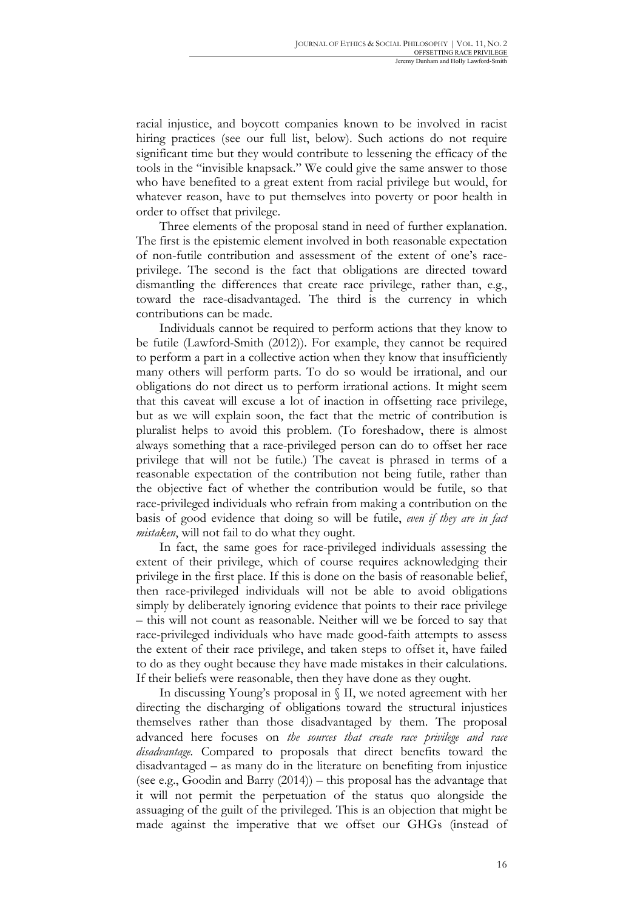racial injustice, and boycott companies known to be involved in racist hiring practices (see our full list, below). Such actions do not require significant time but they would contribute to lessening the efficacy of the tools in the "invisible knapsack." We could give the same answer to those who have benefited to a great extent from racial privilege but would, for whatever reason, have to put themselves into poverty or poor health in order to offset that privilege.

Three elements of the proposal stand in need of further explanation. The first is the epistemic element involved in both reasonable expectation of non-futile contribution and assessment of the extent of one's raceprivilege. The second is the fact that obligations are directed toward dismantling the differences that create race privilege, rather than, e.g., toward the race-disadvantaged. The third is the currency in which contributions can be made.

Individuals cannot be required to perform actions that they know to be futile (Lawford-Smith (2012)). For example, they cannot be required to perform a part in a collective action when they know that insufficiently many others will perform parts. To do so would be irrational, and our obligations do not direct us to perform irrational actions. It might seem that this caveat will excuse a lot of inaction in offsetting race privilege, but as we will explain soon, the fact that the metric of contribution is pluralist helps to avoid this problem. (To foreshadow, there is almost always something that a race-privileged person can do to offset her race privilege that will not be futile.) The caveat is phrased in terms of a reasonable expectation of the contribution not being futile, rather than the objective fact of whether the contribution would be futile, so that race-privileged individuals who refrain from making a contribution on the basis of good evidence that doing so will be futile, *even if they are in fact mistaken*, will not fail to do what they ought.

In fact, the same goes for race-privileged individuals assessing the extent of their privilege, which of course requires acknowledging their privilege in the first place. If this is done on the basis of reasonable belief, then race-privileged individuals will not be able to avoid obligations simply by deliberately ignoring evidence that points to their race privilege – this will not count as reasonable. Neither will we be forced to say that race-privileged individuals who have made good-faith attempts to assess the extent of their race privilege, and taken steps to offset it, have failed to do as they ought because they have made mistakes in their calculations. If their beliefs were reasonable, then they have done as they ought.

In discussing Young's proposal in § II, we noted agreement with her directing the discharging of obligations toward the structural injustices themselves rather than those disadvantaged by them. The proposal advanced here focuses on *the sources that create race privilege and race disadvantage.* Compared to proposals that direct benefits toward the disadvantaged – as many do in the literature on benefiting from injustice (see e.g., Goodin and Barry (2014)) – this proposal has the advantage that it will not permit the perpetuation of the status quo alongside the assuaging of the guilt of the privileged. This is an objection that might be made against the imperative that we offset our GHGs (instead of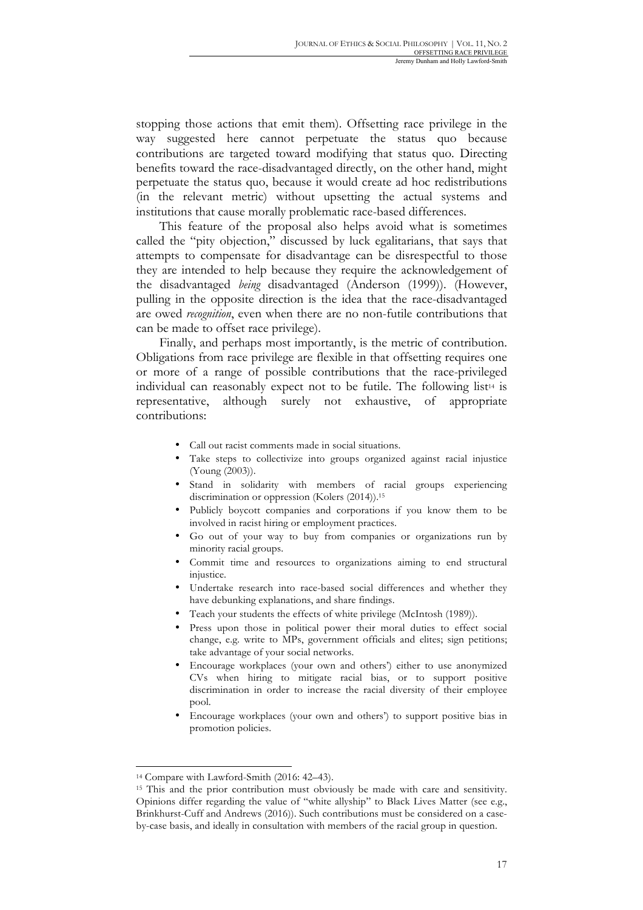stopping those actions that emit them). Offsetting race privilege in the way suggested here cannot perpetuate the status quo because contributions are targeted toward modifying that status quo. Directing benefits toward the race-disadvantaged directly, on the other hand, might perpetuate the status quo, because it would create ad hoc redistributions (in the relevant metric) without upsetting the actual systems and institutions that cause morally problematic race-based differences.

This feature of the proposal also helps avoid what is sometimes called the "pity objection," discussed by luck egalitarians, that says that attempts to compensate for disadvantage can be disrespectful to those they are intended to help because they require the acknowledgement of the disadvantaged *being* disadvantaged (Anderson (1999)). (However, pulling in the opposite direction is the idea that the race-disadvantaged are owed *recognition*, even when there are no non-futile contributions that can be made to offset race privilege).

Finally, and perhaps most importantly, is the metric of contribution. Obligations from race privilege are flexible in that offsetting requires one or more of a range of possible contributions that the race-privileged individual can reasonably expect not to be futile. The following list<sup>14</sup> is representative, although surely not exhaustive, of appropriate contributions:

- Call out racist comments made in social situations.
- Take steps to collectivize into groups organized against racial injustice (Young (2003)).
- Stand in solidarity with members of racial groups experiencing discrimination or oppression (Kolers (2014)).<sup>15</sup>
- Publicly boycott companies and corporations if you know them to be involved in racist hiring or employment practices.
- Go out of your way to buy from companies or organizations run by minority racial groups.
- Commit time and resources to organizations aiming to end structural injustice.
- Undertake research into race-based social differences and whether they have debunking explanations, and share findings.
- Teach your students the effects of white privilege (McIntosh (1989)).
- Press upon those in political power their moral duties to effect social change, e.g. write to MPs, government officials and elites; sign petitions; take advantage of your social networks.
- Encourage workplaces (your own and others') either to use anonymized CVs when hiring to mitigate racial bias, or to support positive discrimination in order to increase the racial diversity of their employee pool.
- Encourage workplaces (your own and others') to support positive bias in promotion policies.

<sup>14</sup> Compare with Lawford-Smith (2016: 42–43).

<sup>15</sup> This and the prior contribution must obviously be made with care and sensitivity. Opinions differ regarding the value of "white allyship" to Black Lives Matter (see e.g., Brinkhurst-Cuff and Andrews (2016)). Such contributions must be considered on a caseby-case basis, and ideally in consultation with members of the racial group in question.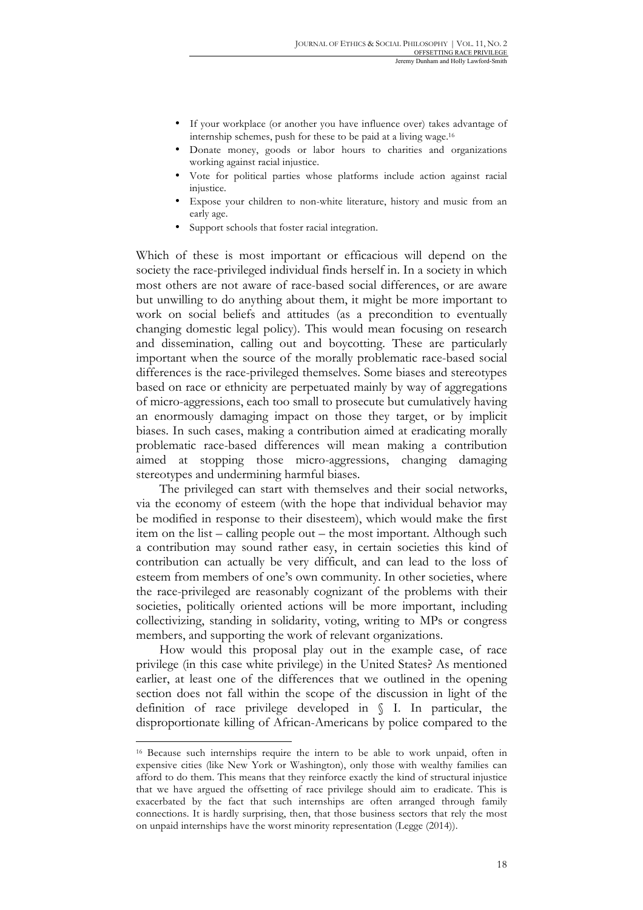- If your workplace (or another you have influence over) takes advantage of internship schemes, push for these to be paid at a living wage.16
- Donate money, goods or labor hours to charities and organizations working against racial injustice.
- Vote for political parties whose platforms include action against racial injustice.
- Expose your children to non-white literature, history and music from an early age.
- Support schools that foster racial integration.

Which of these is most important or efficacious will depend on the society the race-privileged individual finds herself in. In a society in which most others are not aware of race-based social differences, or are aware but unwilling to do anything about them, it might be more important to work on social beliefs and attitudes (as a precondition to eventually changing domestic legal policy). This would mean focusing on research and dissemination, calling out and boycotting. These are particularly important when the source of the morally problematic race-based social differences is the race-privileged themselves. Some biases and stereotypes based on race or ethnicity are perpetuated mainly by way of aggregations of micro-aggressions, each too small to prosecute but cumulatively having an enormously damaging impact on those they target, or by implicit biases. In such cases, making a contribution aimed at eradicating morally problematic race-based differences will mean making a contribution aimed at stopping those micro-aggressions, changing damaging stereotypes and undermining harmful biases.

The privileged can start with themselves and their social networks, via the economy of esteem (with the hope that individual behavior may be modified in response to their disesteem), which would make the first item on the list – calling people out – the most important. Although such a contribution may sound rather easy, in certain societies this kind of contribution can actually be very difficult, and can lead to the loss of esteem from members of one's own community. In other societies, where the race-privileged are reasonably cognizant of the problems with their societies, politically oriented actions will be more important, including collectivizing, standing in solidarity, voting, writing to MPs or congress members, and supporting the work of relevant organizations.

How would this proposal play out in the example case, of race privilege (in this case white privilege) in the United States? As mentioned earlier, at least one of the differences that we outlined in the opening section does not fall within the scope of the discussion in light of the definition of race privilege developed in § I. In particular, the disproportionate killing of African-Americans by police compared to the

<sup>16</sup> Because such internships require the intern to be able to work unpaid, often in expensive cities (like New York or Washington), only those with wealthy families can afford to do them. This means that they reinforce exactly the kind of structural injustice that we have argued the offsetting of race privilege should aim to eradicate. This is exacerbated by the fact that such internships are often arranged through family connections. It is hardly surprising, then, that those business sectors that rely the most on unpaid internships have the worst minority representation (Legge (2014)).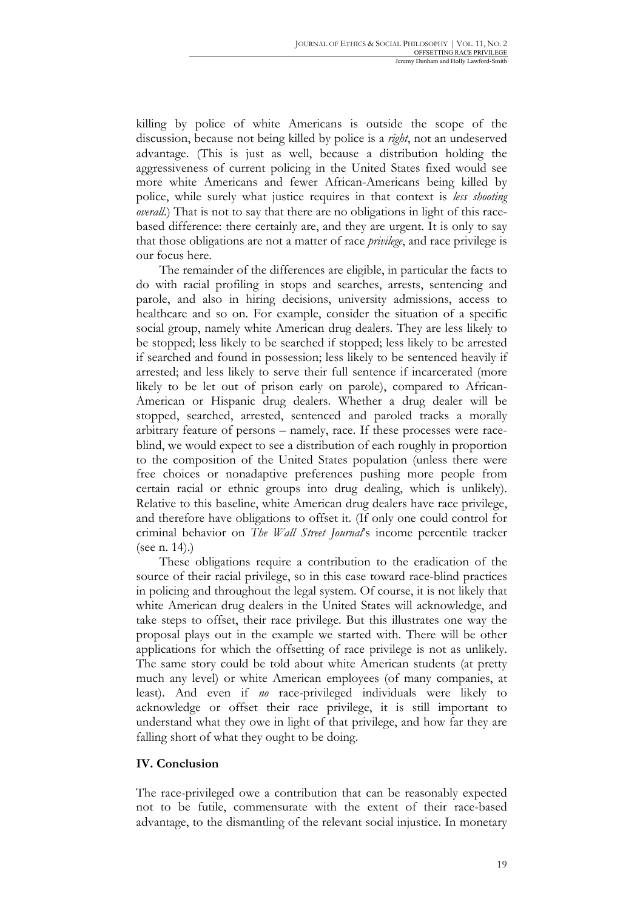killing by police of white Americans is outside the scope of the discussion, because not being killed by police is a *right*, not an undeserved advantage. (This is just as well, because a distribution holding the aggressiveness of current policing in the United States fixed would see more white Americans and fewer African-Americans being killed by police, while surely what justice requires in that context is *less shooting overall.*) That is not to say that there are no obligations in light of this racebased difference: there certainly are, and they are urgent. It is only to say that those obligations are not a matter of race *privilege*, and race privilege is our focus here.

The remainder of the differences are eligible, in particular the facts to do with racial profiling in stops and searches, arrests, sentencing and parole, and also in hiring decisions, university admissions, access to healthcare and so on. For example, consider the situation of a specific social group, namely white American drug dealers. They are less likely to be stopped; less likely to be searched if stopped; less likely to be arrested if searched and found in possession; less likely to be sentenced heavily if arrested; and less likely to serve their full sentence if incarcerated (more likely to be let out of prison early on parole), compared to African-American or Hispanic drug dealers. Whether a drug dealer will be stopped, searched, arrested, sentenced and paroled tracks a morally arbitrary feature of persons – namely, race. If these processes were raceblind, we would expect to see a distribution of each roughly in proportion to the composition of the United States population (unless there were free choices or nonadaptive preferences pushing more people from certain racial or ethnic groups into drug dealing, which is unlikely). Relative to this baseline, white American drug dealers have race privilege, and therefore have obligations to offset it. (If only one could control for criminal behavior on *The Wall Street Journal*'s income percentile tracker (see n. 14).)

These obligations require a contribution to the eradication of the source of their racial privilege, so in this case toward race-blind practices in policing and throughout the legal system. Of course, it is not likely that white American drug dealers in the United States will acknowledge, and take steps to offset, their race privilege. But this illustrates one way the proposal plays out in the example we started with. There will be other applications for which the offsetting of race privilege is not as unlikely. The same story could be told about white American students (at pretty much any level) or white American employees (of many companies, at least). And even if *no* race-privileged individuals were likely to acknowledge or offset their race privilege, it is still important to understand what they owe in light of that privilege, and how far they are falling short of what they ought to be doing.

### **IV. Conclusion**

The race-privileged owe a contribution that can be reasonably expected not to be futile, commensurate with the extent of their race-based advantage, to the dismantling of the relevant social injustice. In monetary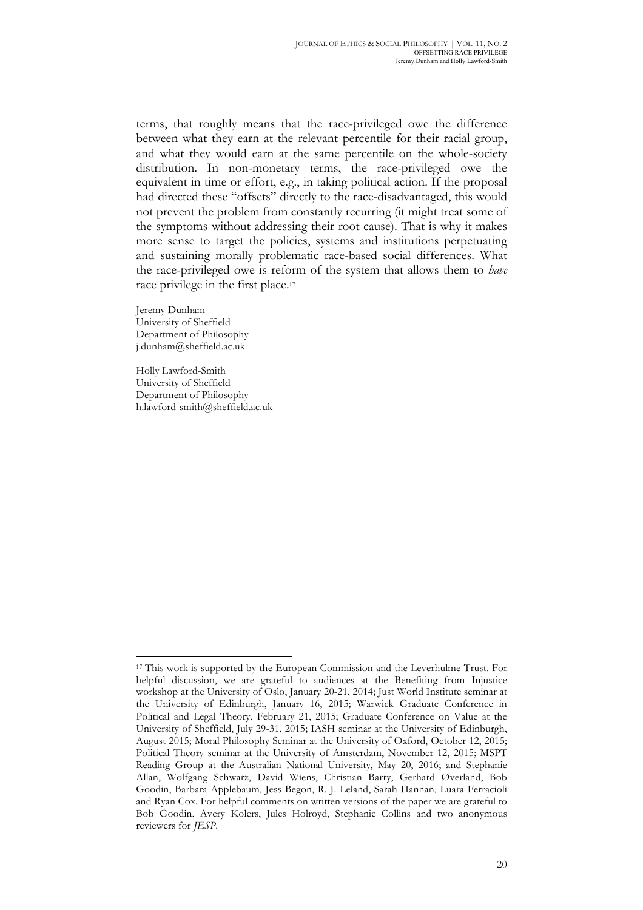terms, that roughly means that the race-privileged owe the difference between what they earn at the relevant percentile for their racial group, and what they would earn at the same percentile on the whole-society distribution. In non-monetary terms, the race-privileged owe the equivalent in time or effort, e.g., in taking political action. If the proposal had directed these "offsets" directly to the race-disadvantaged, this would not prevent the problem from constantly recurring (it might treat some of the symptoms without addressing their root cause). That is why it makes more sense to target the policies, systems and institutions perpetuating and sustaining morally problematic race-based social differences. What the race-privileged owe is reform of the system that allows them to *have*  race privilege in the first place.<sup>17</sup>

Jeremy Dunham University of Sheffield Department of Philosophy j.dunham@sheffield.ac.uk

Holly Lawford-Smith University of Sheffield Department of Philosophy h.lawford-smith@sheffield.ac.uk

<sup>17</sup> This work is supported by the European Commission and the Leverhulme Trust. For helpful discussion, we are grateful to audiences at the Benefiting from Injustice workshop at the University of Oslo, January 20-21, 2014; Just World Institute seminar at the University of Edinburgh, January 16, 2015; Warwick Graduate Conference in Political and Legal Theory, February 21, 2015; Graduate Conference on Value at the University of Sheffield, July 29-31, 2015; IASH seminar at the University of Edinburgh, August 2015; Moral Philosophy Seminar at the University of Oxford, October 12, 2015; Political Theory seminar at the University of Amsterdam, November 12, 2015; MSPT Reading Group at the Australian National University, May 20, 2016; and Stephanie Allan, Wolfgang Schwarz, David Wiens, Christian Barry, Gerhard Øverland, Bob Goodin, Barbara Applebaum, Jess Begon, R. J. Leland, Sarah Hannan, Luara Ferracioli and Ryan Cox. For helpful comments on written versions of the paper we are grateful to Bob Goodin, Avery Kolers, Jules Holroyd, Stephanie Collins and two anonymous reviewers for *JESP*.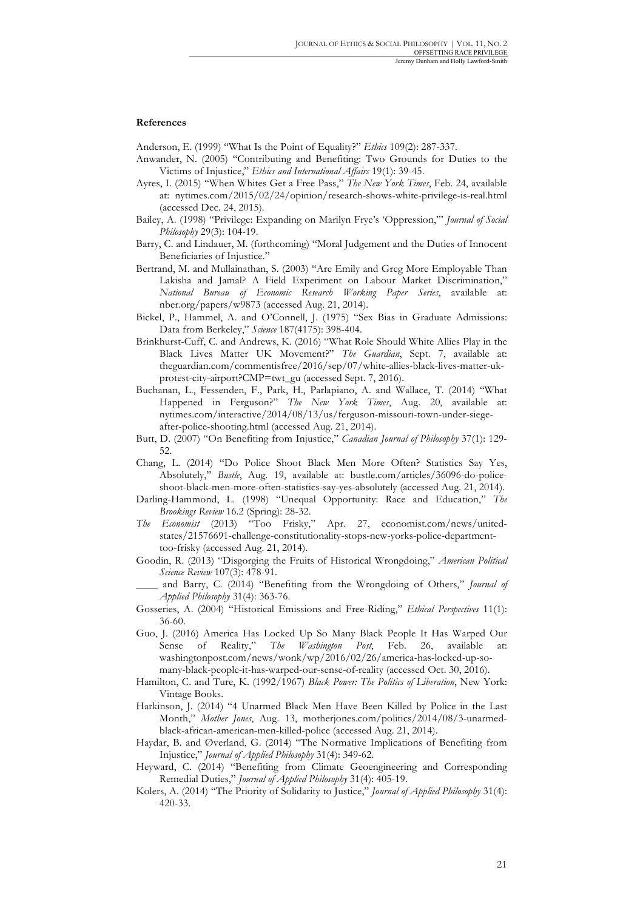### **References**

Anderson, E. (1999) "What Is the Point of Equality?" *Ethics* 109(2): 287-337.

- Anwander, N. (2005) "Contributing and Benefiting: Two Grounds for Duties to the Victims of Injustice," *Ethics and International Affairs* 19(1): 39-45.
- Ayres, I. (2015) "When Whites Get a Free Pass," *The New York Times*, Feb. 24, available at: nytimes.com/2015/02/24/opinion/research-shows-white-privilege-is-real.html (accessed Dec. 24, 2015).
- Bailey, A. (1998) "Privilege: Expanding on Marilyn Frye's 'Oppression,'" *Journal of Social Philosophy* 29(3): 104-19.
- Barry, C. and Lindauer, M. (forthcoming) "Moral Judgement and the Duties of Innocent Beneficiaries of Injustice."
- Bertrand, M. and Mullainathan, S. (2003) "Are Emily and Greg More Employable Than Lakisha and Jamal? A Field Experiment on Labour Market Discrimination," *National Bureau of Economic Research Working Paper Series*, available at: nber.org/papers/w9873 (accessed Aug. 21, 2014).
- Bickel, P., Hammel, A. and O'Connell, J. (1975) "Sex Bias in Graduate Admissions: Data from Berkeley," *Science* 187(4175): 398-404.
- Brinkhurst-Cuff, C. and Andrews, K. (2016) "What Role Should White Allies Play in the Black Lives Matter UK Movement?" *The Guardian*, Sept. 7, available at: theguardian.com/commentisfree/2016/sep/07/white-allies-black-lives-matter-ukprotest-city-airport?CMP=twt\_gu (accessed Sept. 7, 2016).
- Buchanan, L., Fessenden, F., Park, H., Parlapiano, A. and Wallace, T. (2014) "What Happened in Ferguson?" *The New York Times*, Aug. 20, available at: nytimes.com/interactive/2014/08/13/us/ferguson-missouri-town-under-siegeafter-police-shooting.html (accessed Aug. 21, 2014).
- Butt, D. (2007) "On Benefiting from Injustice," *Canadian Journal of Philosophy* 37(1): 129- 52.
- Chang, L. (2014) "Do Police Shoot Black Men More Often? Statistics Say Yes, Absolutely," *Bustle*, Aug. 19, available at: bustle.com/articles/36096-do-policeshoot-black-men-more-often-statistics-say-yes-absolutely (accessed Aug. 21, 2014).
- Darling-Hammond, L. (1998) "Unequal Opportunity: Race and Education," *The Brookings Review* 16.2 (Spring): 28-32.
- *The Economist* (2013) "Too Frisky," Apr. 27, economist.com/news/unitedstates/21576691-challenge-constitutionality-stops-new-yorks-police-departmenttoo-frisky (accessed Aug. 21, 2014).
- Goodin, R. (2013) "Disgorging the Fruits of Historical Wrongdoing," *American Political Science Review* 107(3): 478-91.
	- \_\_\_\_ and Barry, C. (2014) "Benefiting from the Wrongdoing of Others," *Journal of Applied Philosophy* 31(4): 363-76.
- Gosseries, A. (2004) "Historical Emissions and Free-Riding," *Ethical Perspectives* 11(1): 36-60.
- Guo, J. (2016) America Has Locked Up So Many Black People It Has Warped Our Sense of Reality," *The Washington Post*, Feb. 26, available at: washingtonpost.com/news/wonk/wp/2016/02/26/america-has-locked-up-somany-black-people-it-has-warped-our-sense-of-reality (accessed Oct. 30, 2016).
- Hamilton, C. and Ture, K. (1992/1967) *Black Power: The Politics of Liberation*, New York: Vintage Books.
- Harkinson, J. (2014) "4 Unarmed Black Men Have Been Killed by Police in the Last Month," *Mother Jones*, Aug. 13, motherjones.com/politics/2014/08/3-unarmedblack-african-american-men-killed-police (accessed Aug. 21, 2014).
- Haydar, B. and Øverland, G. (2014) "The Normative Implications of Benefiting from Injustice," *Journal of Applied Philosophy* 31(4): 349-62.
- Heyward, C. (2014) "Benefiting from Climate Geoengineering and Corresponding Remedial Duties," *Journal of Applied Philosophy* 31(4): 405-19.
- Kolers, A. (2014) "The Priority of Solidarity to Justice," *Journal of Applied Philosophy* 31(4): 420-33.